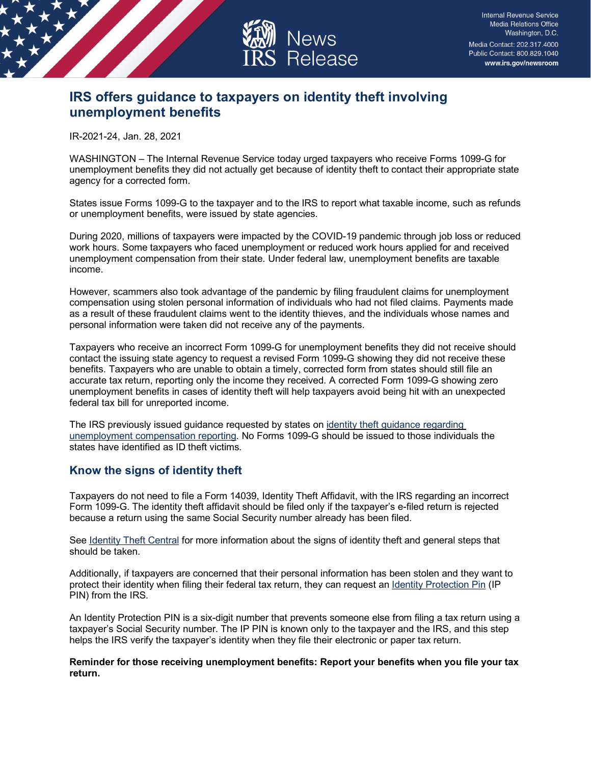

## **IRS offers guidance to taxpayers on identity theft involving unemployment benefits**

IR-2021-24, Jan. 28, 2021

WASHINGTON – The Internal Revenue Service today urged taxpayers who receive Forms 1099-G for unemployment benefits they did not actually get because of identity theft to contact their appropriate state agency for a corrected form.

States issue Forms 1099-G to the taxpayer and to the IRS to report what taxable income, such as refunds or unemployment benefits, were issued by state agencies.

During 2020, millions of taxpayers were impacted by the COVID-19 pandemic through job loss or reduced work hours. Some taxpayers who faced unemployment or reduced work hours applied for and received unemployment compensation from their state. Under federal law, unemployment benefits are taxable income.

However, scammers also took advantage of the pandemic by filing fraudulent claims for unemployment compensation using stolen personal information of individuals who had not filed claims. Payments made as a result of these fraudulent claims went to the identity thieves, and the individuals whose names and personal information were taken did not receive any of the payments.

Taxpayers who receive an incorrect Form 1099-G for unemployment benefits they did not receive should contact the issuing state agency to request a revised Form 1099-G showing they did not receive these benefits. Taxpayers who are unable to obtain a timely, corrected form from states should still file an accurate tax return, reporting only the income they received. A corrected Form 1099-G showing zero unemployment benefits in cases of identity theft will help taxpayers avoid being hit with an unexpected federal tax bill for unreported income.

The IRS previously issued guidance requested by states on [identity theft guidance regarding](https://www.irs.gov/forms-pubs/identity-theft-guidance-regarding-unemployment-compensation-reporting)  [unemployment compensation reporting.](https://www.irs.gov/forms-pubs/identity-theft-guidance-regarding-unemployment-compensation-reporting) No Forms 1099-G should be issued to those individuals the states have identified as ID theft victims.

## **Know the signs of identity theft**

Taxpayers do not need to file a Form 14039, Identity Theft Affidavit, with the IRS regarding an incorrect Form 1099-G. The identity theft affidavit should be filed only if the taxpayer's e-filed return is rejected because a return using the same Social Security number already has been filed.

See [Identity Theft Central](https://www.irs.gov/identity-theft-central) for more information about the signs of identity theft and general steps that should be taken.

Additionally, if taxpayers are concerned that their personal information has been stolen and they want to protect their identity when filing their federal tax return, they can request an [Identity Protection Pin](https://www.irs.gov/identity-theft-fraud-scams/get-an-identity-protection-pin) (IP PIN) from the IRS.

An Identity Protection PIN is a six-digit number that prevents someone else from filing a tax return using a taxpayer's Social Security number. The IP PIN is known only to the taxpayer and the IRS, and this step helps the IRS verify the taxpayer's identity when they file their electronic or paper tax return.

**Reminder for those receiving unemployment benefits: Report your benefits when you file your tax return.**